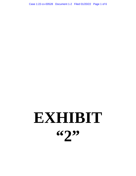Case 1:22-cv-00528 Document 1-2 Filed 01/20/22 Page 1 of 6

# **EXHIBIT "2"**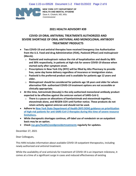

**NEW YORK CITY DEPARTMENT OF HEALTH AND MENTAL HYGIENE** Dave A. Chokshi, MD, MSc  *Commissioner*

# **2021 HEALTH ADVISORY #39**

# **COVID-19 ORAL ANTIVIRAL TREATMENTS AUTHORIZED AND SEVERE SHORTAGE OF ORAL ANTIVIRAL AND MONOCLONAL ANTIBODY TREATMENT PRODUCTS**

- **Two COVID-19 oral antiviral therapies have received Emergency Use Authorization from the U.S. Food and drug Administration (FDA), Paxlovid (Pfizer) and molnupiravir (Merck).**
	- o **Paxlovid and molnupiravir reduce the risk of hospitalization and death by 88% and 30% respectively, in patients at high-risk for severe COVID-19 disease when started early after symptom onset.**
	- o **Prescriptions in New York City (NYC) will be filled by Alto Pharmacy to provide free, same day home delivery regardless of insurance or immigration status.**
	- o **Paxlovid is the preferred product and is available for patients age 12 years and older.**
	- o **Molnupiravir should be considered for patients age 18 years and older for whom alternative FDA- authorized COVID-19 treatment options are not accessible or clinically appropriate.**
- **At this time, Sotrovimab (Xevudy) is the only authorized monoclonal antibody product expected to be effective against the omicron variant of SARS-CoV-2.**
	- o **There is a pause on allocations of bamlanivimab and etesevimab together, etesevimab alone, and REGEN-COV until further notice. These products do not retain activity against omicron and should not be used.**
- **Adhere to New York State Department of Health (NYS DOH) guidance on prioritization of high-risk patients for anti-SARS-CoV-2 therapies during this time of severe resource limitations.**
- **While therapeutic shortages continue, off-label use of remdesivir on an outpatient basis may be an option.**
- **Check nyc.gov/health/covidprovidertreatments regularly for updates.**

December 27, 2021

Dear Colleagues,

This HAN includes information about available COVID-19 outpatient therapeutics, including newly authorized oral antiviral treatment.

While the availability of oral antivirals for treatment of COVID-19 is an important milestone, it comes at a time of a significant surge in cases and reduced effectiveness of existing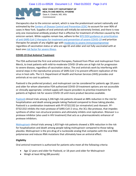

**NEW YORK CITY DEPARTMENT OF HEALTH AND MENTAL HYGIENE** Dave A. Chokshi, MD, MSc  *Commissioner*

therapeutics due to the omicron variant, which is now the predominant variant nationally and estimated by the Centers of Disease Control and Prevention (CDC) to account for over 90% of cases in New York. Supplies of oral antivirals will initially be extremely limited, and there is now only one monoclonal antibody product that is effective for treatment of infection caused by the omicron variant. While supplies remain low, adhere to the NYS DOH guidance on prioritization of anti-SARS-CoV-2 therapies for treatment and prevention of severe COVID-19 and prioritize therapies for people of any eligible age with moderate to severe immunocompromise regardless of vaccination status or who are age 65 and older and not fully vaccinated with at least one risk factor for severe illness.

# **COVID-19 Oral Antiviral Treatment**

The FDA authorized the first oral antiviral therapies, Paxlovid from Pfizer and molnupiravir from Merck, to treat patients with mild-to-moderate COVID-19 who are at high risk for progression to severe disease, regardless of vaccination status. The oral antivirals work by interfering with several steps in the reproductive process of SARS-CoV-2 to prevent efficient replication of the virus in host cells. The U.S. Department of Health and Human Services (HHS) provides oral antivirals at no cost to patients.

Paxlovid is the preferred product, and molnupiravir can be considered for patients age 18 years and older for whom alternative FDA-authorized COVID-19 treatment options are not accessible or clinically appropriate. Limited supply will require providers to prioritize treatment for patients at highest risk for severe COVID-19 until more product becomes available.

Paxlovid clinical trials among 2,246 high-risk patients showed an 88% reduction in the risk for hospitalization and death among people taking Paxlovid compared to those taking placebo. Paxlovid is a combination treatment with PF-07321332 (or nirmatrelvir) and ritonavir. PF-07321332 inhibits the main protease of SARS-CoV-2 virus, the 3CL-like protease, that impedes synthesis of other non-structural proteins and ultimately inhibits viral replication. Ritonavir is a protease inhibitor (also used in HIV treatment) that acts as a pharmacokinetic enhancer of protease inhibitors.

Molnupiravir clinical trials among 1,433 high-risk patients showed a 30% reduction in the risk for hospitalization and death among people taking molnupiravir compared to those taking placebo. Molnupiravir is the pro-drug of a nucleoside analog that competes with the viral RNA polymerase and induces RNA mutations that ultimately have an antiviral effect.

# **Eligibility**

Oral antiviral treatment is authorized for patients who meet all the following criteria:

- Age 12 years and older for Paxlovid, or 18 years and older for Molnupiravir
- Weigh at least 40 kg (88 pounds)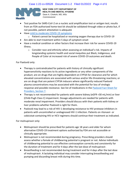# Case 1:22-cv-00528 Document 1-2 Filed 01/20/22 Page 4 of 6



**NEW YORK CITY DEPARTMENT OF HEALTH AND MENTAL HYGIENE** Dave A. Chokshi, MD, MSc  *Commissioner*

- Test positive for SARS-CoV-2 on a nucleic acid amplification test or antigen test; results from an FDA-authorized home-test kit should be validated through video or photo but, if not possible, patient attestation is adequate
- Have mild to moderate COVID-19 symptoms
	- o Patient cannot be hospitalized or receiving oxygen therapy due to COVID-19
- Are able to start treatment within 5 days of symptom onset
- Have a medical condition or other factors that increase their risk for severe COVID-19 illness.
	- $\circ$  Consider race and ethnicity when assessing an individual's risk. Impacts of longstanding systemic health and social inequities put Black, Indigenous, and People of Color at increased risk of severe COVID-19 outcomes and death.

For Paxlovid only:

- Therapy is contraindicated for patients with history of clinically significant hypersensitivity reactions to its active ingredients or any other components of the product; are on drugs that are highly dependent on CYP3A for clearance and for which elevated concentrations are associated with serious and/or life-threatening reactions; or are on drugs that are potent CYP3A inducers where significantly reduced Paxlovid plasma concentrations may be associated with the potential for loss of virologic response and possible resistance. See list of medications in the Paxlovid Fact Sheet for Providers, Section 7.
- Therapy is not recommended for patients with severe kidney (eGFR <30 mL/min) or liver (Child-Pugh Class C) impairment. Dosage adjustments are needed for patients with moderate renal impairment. Providers should discuss with their patients with kidney or liver problems whether Paxlovid is right for them.
- Paxlovid may lead to a risk of HIV-1 developing resistance to HIV protease inhibitors in patients with uncontrolled or undiagnosed HIV-1 infection. Patients on ritonavir- or cobicistat-containing HIV or HCV regimens should continue their treatment as indicated.

For molnupiravir only:

- Molnupiravir should be prescribed for patients age 18 years and older for whom alternative COVID-19 treatment options authorized by FDA are not accessible or clinically appropriate.
- Molnupiravir is not recommended during pregnancy. Prescribing providers should assess whether a female of childbearing potential is pregnant or not. Advise individuals of childbearing potential to use effective contraception correctly and consistently for the duration of treatment and for 4 days after the last dose of molnupiravir.
- Breastfeeding is not recommended during treatment and for 4 days after the last dose of molnupiravir. A lactating individual may consider interrupting breastfeeding and pumping and discarding breast milk during this time.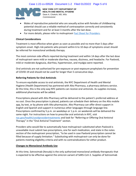

**NEW YORK CITY DEPARTMENT OF HEALTH AND MENTAL HYGIENE** Dave A. Chokshi, MD, MSc  *Commissioner*

- Males of reproductive potential who are sexually active with females of childbearing potential should use a reliable method of contraception correctly and consistently during treatment and for at least 3 months after the last dose.
- For more details, please refer to molnupiravir Fact Sheet for Providers.

#### **Clinical Considerations**

Treatment is most effective when given as soon as possible and no more than 5 days after symptom onset. High-risk patients who present within 6 to 10 days of symptoms onset should be referred for monoclonal antibody therapy.

The most common side effects reported during treatment and within 14 days after the last dose of molnupiravir were mild or moderate diarrhea, nausea, dizziness, and headache. For Paxlovid, mild or moderate dysgeusia, diarrhea, hypertension, and myalgia were reported.

Oral antivirals are not authorized for pre-exposure or post-exposure prophylaxis for prevention of COVID-19 and should not be used for longer than 5 consecutive days.

#### **Referring Patients for Oral Antivirals**

To ensure equitable access to oral antivirals, the NYC Department of Health and Mental Hygiene (Health Department) has partnered with Alto Pharmacy, a pharmacy delivery service. At this time, this is the only way NYC patients can receive oral antivirals. As supplies increase, additional pharmacies will be added.

Prescriptions placed with Alto Pharmacy will be delivered to the patient's preferred address at no cost. Once the prescription is placed, patients can schedule their delivery on the Alto mobile app, by text, or by phone with Alto pharmacists. Alto Pharmacy can offer direct support in English and Spanish and support in numerous other languages through language line. Prescriptions confirmed by 5 p.m. on weekdays or 1 p.m. on weekends will be delivered the same night. For instructions on how to prescribe oral antivirals in NYC, visit nyc.gov/health/covidprovidertreatments and look for "Referring or Offering Oral Antiviral Therapy" in the "Oral Antiviral Treatment" section.

Providers who would like to automatically have molnupiravir substituted when Paxlovid is unavailable must submit two prescriptions, one for each medication, and state in the notes section of the molnupiravir prescription, "to be used in case Paxlovid prescription cannot be filled because of supply limitation." Substituting with molnupiravir can only be done for patients meeting eligibility criteria and with no contraindications for either product.

# **Changes to Monoclonal Antibody Use**

At this time, Sotrovimab (Xevudy) is the only authorized monoclonal antibody therapeutic that is expected to be effective against the omicron variant of SARS-CoV-2. Supplies of Sotrovimab